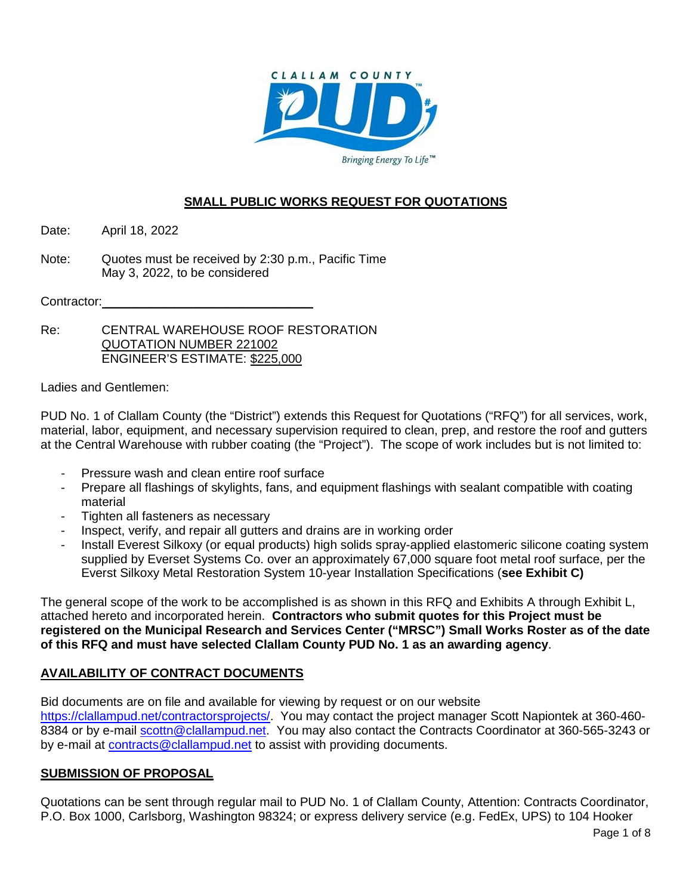

# **SMALL PUBLIC WORKS REQUEST FOR QUOTATIONS**

Date: April 18, 2022

Note: Quotes must be received by 2:30 p.m., Pacific Time May 3, 2022, to be considered

Contractor:

Re: CENTRAL WAREHOUSE ROOF RESTORATION QUOTATION NUMBER 221002 ENGINEER'S ESTIMATE: \$225,000

Ladies and Gentlemen:

PUD No. 1 of Clallam County (the "District") extends this Request for Quotations ("RFQ") for all services, work, material, labor, equipment, and necessary supervision required to clean, prep, and restore the roof and gutters at the Central Warehouse with rubber coating (the "Project"). The scope of work includes but is not limited to:

- Pressure wash and clean entire roof surface
- Prepare all flashings of skylights, fans, and equipment flashings with sealant compatible with coating material
- Tighten all fasteners as necessary
- Inspect, verify, and repair all gutters and drains are in working order
- Install Everest Silkoxy (or equal products) high solids spray-applied elastomeric silicone coating system supplied by Everset Systems Co. over an approximately 67,000 square foot metal roof surface, per the Everst Silkoxy Metal Restoration System 10-year Installation Specifications (**see Exhibit C)**

The general scope of the work to be accomplished is as shown in this RFQ and Exhibits A through Exhibit L, attached hereto and incorporated herein. **Contractors who submit quotes for this Project must be registered on the Municipal Research and Services Center ("MRSC") Small Works Roster as of the date of this RFQ and must have selected Clallam County PUD No. 1 as an awarding agency**.

# **AVAILABILITY OF CONTRACT DOCUMENTS**

Bid documents are on file and available for viewing by request or on our website

[https://clallampud.net/contractorsprojects/.](https://clallampud.net/contractorsprojects/) You may contact the project manager Scott Napiontek at 360-460 8384 or by e-mail [scottn@clallampud.net.](mailto:scottn@clallampud.net) You may also contact the Contracts Coordinator at 360-565-3243 or by e-mail at [contracts@clallampud.net](mailto:contracts@clallampud.net) to assist with providing documents.

## **SUBMISSION OF PROPOSAL**

Quotations can be sent through regular mail to PUD No. 1 of Clallam County, Attention: Contracts Coordinator, P.O. Box 1000, Carlsborg, Washington 98324; or express delivery service (e.g. FedEx, UPS) to 104 Hooker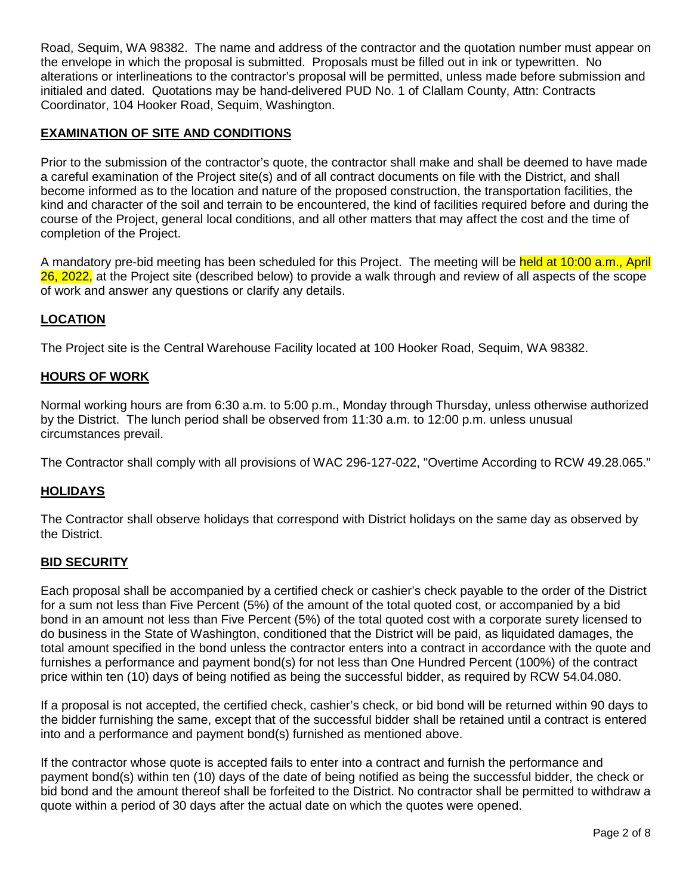Road, Sequim, WA 98382. The name and address of the contractor and the quotation number must appear on the envelope in which the proposal is submitted. Proposals must be filled out in ink or typewritten. No alterations or interlineations to the contractor's proposal will be permitted, unless made before submission and initialed and dated. Quotations may be hand-delivered PUD No. 1 of Clallam County, Attn: Contracts Coordinator, 104 Hooker Road, Sequim, Washington.

## **EXAMINATION OF SITE AND CONDITIONS**

Prior to the submission of the contractor's quote, the contractor shall make and shall be deemed to have made a careful examination of the Project site(s) and of all contract documents on file with the District, and shall become informed as to the location and nature of the proposed construction, the transportation facilities, the kind and character of the soil and terrain to be encountered, the kind of facilities required before and during the course of the Project, general local conditions, and all other matters that may affect the cost and the time of completion of the Project.

A mandatory pre-bid meeting has been scheduled for this Project. The meeting will be held at 10:00 a.m., April 26, 2022, at the Project site (described below) to provide a walk through and review of all aspects of the scope of work and answer any questions or clarify any details.

## **LOCATION**

The Project site is the Central Warehouse Facility located at 100 Hooker Road, Sequim, WA 98382.

## **HOURS OF WORK**

Normal working hours are from 6:30 a.m. to 5:00 p.m., Monday through Thursday, unless otherwise authorized by the District. The lunch period shall be observed from 11:30 a.m. to 12:00 p.m. unless unusual circumstances prevail.

The Contractor shall comply with all provisions of WAC 296-127-022, "Overtime According to RCW 49.28.065."

## **HOLIDAYS**

The Contractor shall observe holidays that correspond with District holidays on the same day as observed by the District.

#### **BID SECURITY**

Each proposal shall be accompanied by a certified check or cashier's check payable to the order of the District for a sum not less than Five Percent (5%) of the amount of the total quoted cost, or accompanied by a bid bond in an amount not less than Five Percent (5%) of the total quoted cost with a corporate surety licensed to do business in the State of Washington, conditioned that the District will be paid, as liquidated damages, the total amount specified in the bond unless the contractor enters into a contract in accordance with the quote and furnishes a performance and payment bond(s) for not less than One Hundred Percent (100%) of the contract price within ten (10) days of being notified as being the successful bidder, as required by RCW 54.04.080.

If a proposal is not accepted, the certified check, cashier's check, or bid bond will be returned within 90 days to the bidder furnishing the same, except that of the successful bidder shall be retained until a contract is entered into and a performance and payment bond(s) furnished as mentioned above.

If the contractor whose quote is accepted fails to enter into a contract and furnish the performance and payment bond(s) within ten (10) days of the date of being notified as being the successful bidder, the check or bid bond and the amount thereof shall be forfeited to the District. No contractor shall be permitted to withdraw a quote within a period of 30 days after the actual date on which the quotes were opened.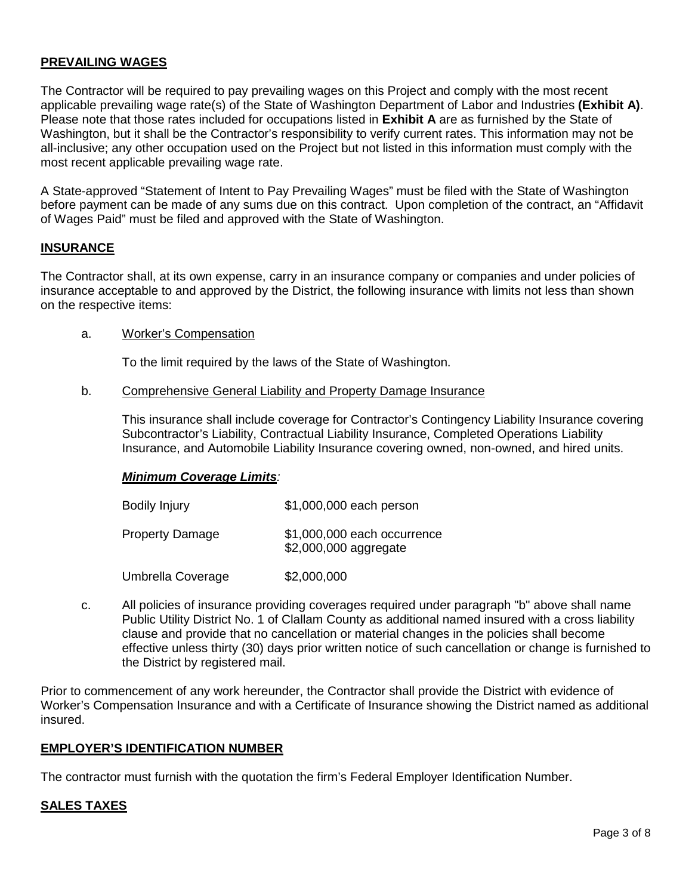## **PREVAILING WAGES**

The Contractor will be required to pay prevailing wages on this Project and comply with the most recent applicable prevailing wage rate(s) of the State of Washington Department of Labor and Industries **(Exhibit A)**. Please note that those rates included for occupations listed in **Exhibit A** are as furnished by the State of Washington, but it shall be the Contractor's responsibility to verify current rates. This information may not be all-inclusive; any other occupation used on the Project but not listed in this information must comply with the most recent applicable prevailing wage rate.

A State-approved "Statement of Intent to Pay Prevailing Wages" must be filed with the State of Washington before payment can be made of any sums due on this contract. Upon completion of the contract, an "Affidavit of Wages Paid" must be filed and approved with the State of Washington.

#### **INSURANCE**

The Contractor shall, at its own expense, carry in an insurance company or companies and under policies of insurance acceptable to and approved by the District, the following insurance with limits not less than shown on the respective items:

#### a. Worker's Compensation

To the limit required by the laws of the State of Washington.

#### b. Comprehensive General Liability and Property Damage Insurance

This insurance shall include coverage for Contractor's Contingency Liability Insurance covering Subcontractor's Liability, Contractual Liability Insurance, Completed Operations Liability Insurance, and Automobile Liability Insurance covering owned, non-owned, and hired units.

#### *Minimum Coverage Limits:*

| <b>Bodily Injury</b>   | \$1,000,000 each person                              |
|------------------------|------------------------------------------------------|
| <b>Property Damage</b> | \$1,000,000 each occurrence<br>\$2,000,000 aggregate |
| Umbrella Coverage      | \$2,000,000                                          |

c. All policies of insurance providing coverages required under paragraph "b" above shall name Public Utility District No. 1 of Clallam County as additional named insured with a cross liability clause and provide that no cancellation or material changes in the policies shall become effective unless thirty (30) days prior written notice of such cancellation or change is furnished to the District by registered mail.

Prior to commencement of any work hereunder, the Contractor shall provide the District with evidence of Worker's Compensation Insurance and with a Certificate of Insurance showing the District named as additional insured.

#### **EMPLOYER'S IDENTIFICATION NUMBER**

The contractor must furnish with the quotation the firm's Federal Employer Identification Number.

#### **SALES TAXES**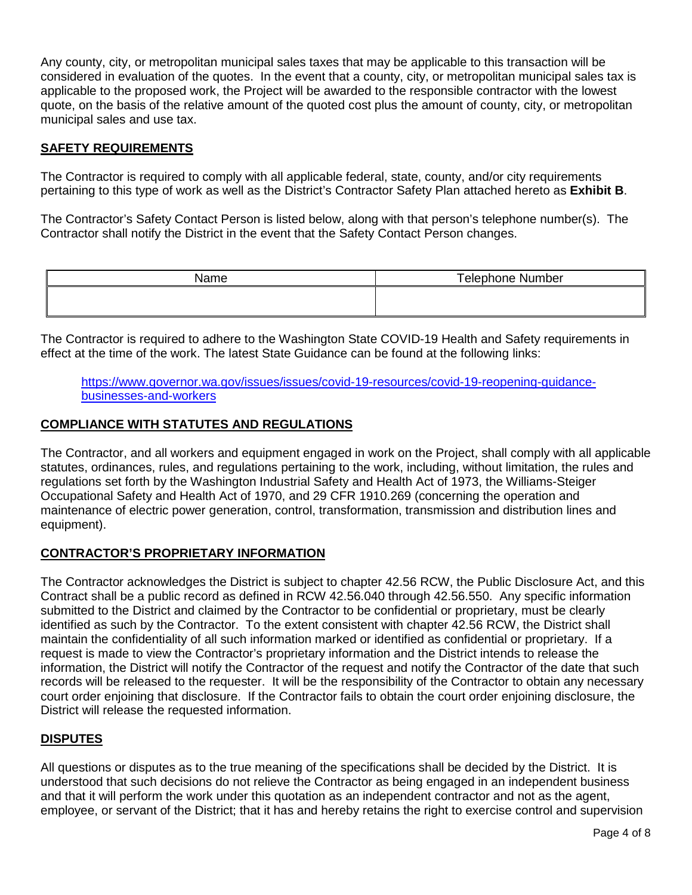Any county, city, or metropolitan municipal sales taxes that may be applicable to this transaction will be considered in evaluation of the quotes. In the event that a county, city, or metropolitan municipal sales tax is applicable to the proposed work, the Project will be awarded to the responsible contractor with the lowest quote, on the basis of the relative amount of the quoted cost plus the amount of county, city, or metropolitan municipal sales and use tax.

### **SAFETY REQUIREMENTS**

The Contractor is required to comply with all applicable federal, state, county, and/or city requirements pertaining to this type of work as well as the District's Contractor Safety Plan attached hereto as **Exhibit B**.

The Contractor's Safety Contact Person is listed below, along with that person's telephone number(s). The Contractor shall notify the District in the event that the Safety Contact Person changes.

| Name | <b>Telephone Number</b> |  |
|------|-------------------------|--|
|      |                         |  |
|      |                         |  |

The Contractor is required to adhere to the Washington State COVID-19 Health and Safety requirements in effect at the time of the work. The latest State Guidance can be found at the following links:

[https://www.governor.wa.gov/issues/issues/covid-19-resources/covid-19-reopening-guidance](https://www.governor.wa.gov/issues/issues/covid-19-resources/covid-19-reopening-guidance-businesses-and-workers)[businesses-and-workers](https://www.governor.wa.gov/issues/issues/covid-19-resources/covid-19-reopening-guidance-businesses-and-workers)

### **COMPLIANCE WITH STATUTES AND REGULATIONS**

The Contractor, and all workers and equipment engaged in work on the Project, shall comply with all applicable statutes, ordinances, rules, and regulations pertaining to the work, including, without limitation, the rules and regulations set forth by the Washington Industrial Safety and Health Act of 1973, the Williams-Steiger Occupational Safety and Health Act of 1970, and 29 CFR 1910.269 (concerning the operation and maintenance of electric power generation, control, transformation, transmission and distribution lines and equipment).

#### **CONTRACTOR'S PROPRIETARY INFORMATION**

The Contractor acknowledges the District is subject to chapter 42.56 RCW, the Public Disclosure Act, and this Contract shall be a public record as defined in RCW 42.56.040 through 42.56.550. Any specific information submitted to the District and claimed by the Contractor to be confidential or proprietary, must be clearly identified as such by the Contractor. To the extent consistent with chapter 42.56 RCW, the District shall maintain the confidentiality of all such information marked or identified as confidential or proprietary. If a request is made to view the Contractor's proprietary information and the District intends to release the information, the District will notify the Contractor of the request and notify the Contractor of the date that such records will be released to the requester. It will be the responsibility of the Contractor to obtain any necessary court order enjoining that disclosure. If the Contractor fails to obtain the court order enjoining disclosure, the District will release the requested information.

#### **DISPUTES**

All questions or disputes as to the true meaning of the specifications shall be decided by the District. It is understood that such decisions do not relieve the Contractor as being engaged in an independent business and that it will perform the work under this quotation as an independent contractor and not as the agent, employee, or servant of the District; that it has and hereby retains the right to exercise control and supervision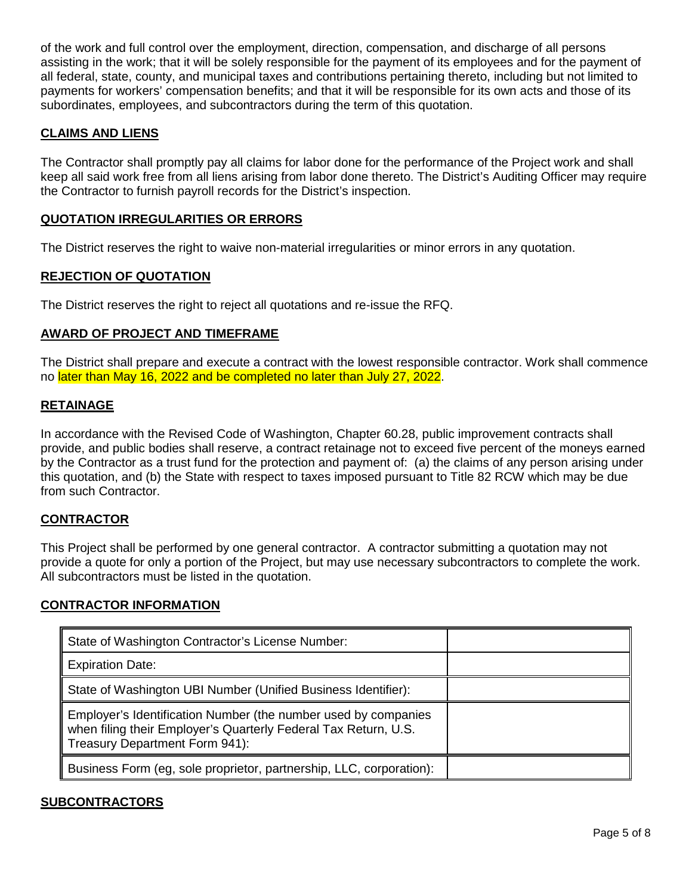of the work and full control over the employment, direction, compensation, and discharge of all persons assisting in the work; that it will be solely responsible for the payment of its employees and for the payment of all federal, state, county, and municipal taxes and contributions pertaining thereto, including but not limited to payments for workers' compensation benefits; and that it will be responsible for its own acts and those of its subordinates, employees, and subcontractors during the term of this quotation.

## **CLAIMS AND LIENS**

The Contractor shall promptly pay all claims for labor done for the performance of the Project work and shall keep all said work free from all liens arising from labor done thereto. The District's Auditing Officer may require the Contractor to furnish payroll records for the District's inspection.

## **QUOTATION IRREGULARITIES OR ERRORS**

The District reserves the right to waive non-material irregularities or minor errors in any quotation.

### **REJECTION OF QUOTATION**

The District reserves the right to reject all quotations and re-issue the RFQ.

### **AWARD OF PROJECT AND TIMEFRAME**

The District shall prepare and execute a contract with the lowest responsible contractor. Work shall commence no later than May 16, 2022 and be completed no later than July 27, 2022.

#### **RETAINAGE**

In accordance with the Revised Code of Washington, Chapter 60.28, public improvement contracts shall provide, and public bodies shall reserve, a contract retainage not to exceed five percent of the moneys earned by the Contractor as a trust fund for the protection and payment of: (a) the claims of any person arising under this quotation, and (b) the State with respect to taxes imposed pursuant to Title 82 RCW which may be due from such Contractor.

#### **CONTRACTOR**

This Project shall be performed by one general contractor. A contractor submitting a quotation may not provide a quote for only a portion of the Project, but may use necessary subcontractors to complete the work. All subcontractors must be listed in the quotation.

#### **CONTRACTOR INFORMATION**

| State of Washington Contractor's License Number:                                                                                                                    |  |
|---------------------------------------------------------------------------------------------------------------------------------------------------------------------|--|
| <b>Expiration Date:</b>                                                                                                                                             |  |
| State of Washington UBI Number (Unified Business Identifier):                                                                                                       |  |
| Employer's Identification Number (the number used by companies<br>when filing their Employer's Quarterly Federal Tax Return, U.S.<br>Treasury Department Form 941): |  |
| Business Form (eg, sole proprietor, partnership, LLC, corporation):                                                                                                 |  |

#### **SUBCONTRACTORS**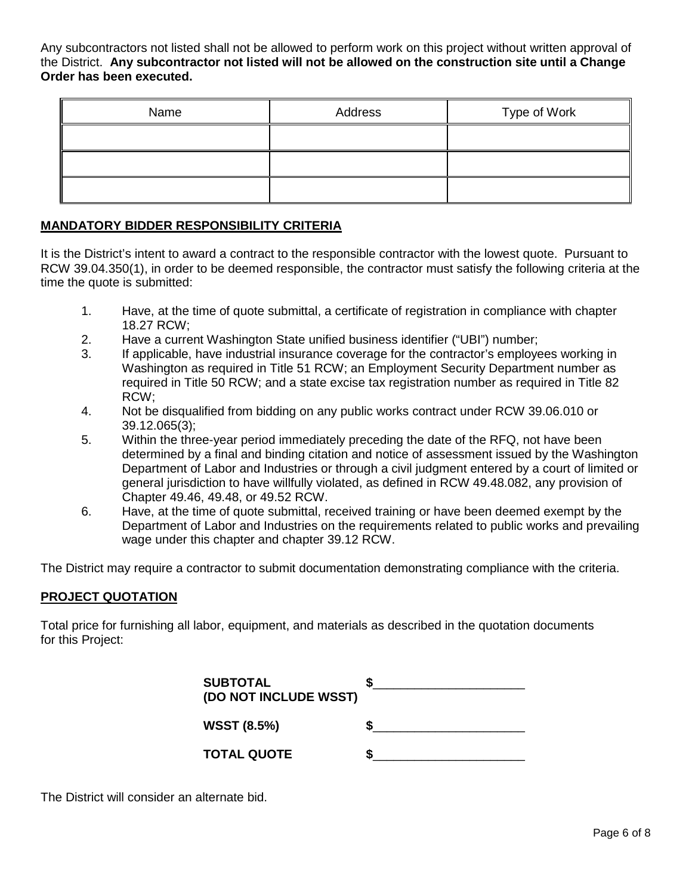Any subcontractors not listed shall not be allowed to perform work on this project without written approval of the District. **Any subcontractor not listed will not be allowed on the construction site until a Change Order has been executed.**

| Name | Address | Type of Work |
|------|---------|--------------|
|      |         |              |
|      |         |              |
|      |         |              |

## **MANDATORY BIDDER RESPONSIBILITY CRITERIA**

It is the District's intent to award a contract to the responsible contractor with the lowest quote. Pursuant to RCW 39.04.350(1), in order to be deemed responsible, the contractor must satisfy the following criteria at the time the quote is submitted:

- 1. Have, at the time of quote submittal, a certificate of registration in compliance with chapter 18.27 RCW;
- 2. Have a current Washington State unified business identifier ("UBI") number;
- 3. If applicable, have industrial insurance coverage for the contractor's employees working in Washington as required in Title 51 RCW; an Employment Security Department number as required in Title 50 RCW; and a state excise tax registration number as required in Title 82 RCW;
- 4. Not be disqualified from bidding on any public works contract under RCW 39.06.010 or 39.12.065(3);
- 5. Within the three-year period immediately preceding the date of the RFQ, not have been determined by a final and binding citation and notice of assessment issued by the Washington Department of Labor and Industries or through a civil judgment entered by a court of limited or general jurisdiction to have willfully violated, as defined in RCW 49.48.082, any provision of Chapter 49.46, 49.48, or 49.52 RCW.
- 6. Have, at the time of quote submittal, received training or have been deemed exempt by the Department of Labor and Industries on the requirements related to public works and prevailing wage under this chapter and chapter 39.12 RCW.

The District may require a contractor to submit documentation demonstrating compliance with the criteria.

#### **PROJECT QUOTATION**

Total price for furnishing all labor, equipment, and materials as described in the quotation documents for this Project:

| <b>SUBTOTAL</b><br>(DO NOT INCLUDE WSST) |  |
|------------------------------------------|--|
| <b>WSST (8.5%)</b>                       |  |
| <b>TOTAL QUOTE</b>                       |  |

The District will consider an alternate bid.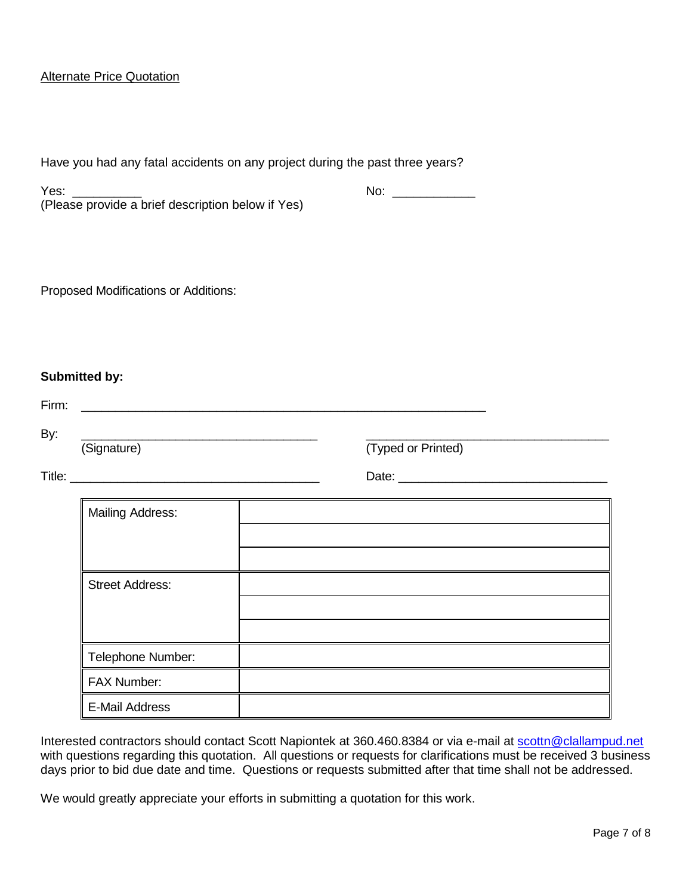### Alternate Price Quotation

|       | Have you had any fatal accidents on any project during the past three years?                                                           |                    |  |
|-------|----------------------------------------------------------------------------------------------------------------------------------------|--------------------|--|
| Yes:  | (Please provide a brief description below if Yes)                                                                                      | No: ______________ |  |
|       | Proposed Modifications or Additions:                                                                                                   |                    |  |
| Firm: | Submitted by:<br><u> 1989 - Johann Stoff, deutscher Stoff, der Stoff, der Stoff, der Stoff, der Stoff, der Stoff, der Stoff, der S</u> |                    |  |
| By:   | (Signature)                                                                                                                            | (Typed or Printed) |  |
|       | <b>Mailing Address:</b>                                                                                                                |                    |  |
|       | <b>Street Address:</b>                                                                                                                 |                    |  |
|       | Telephone Number:                                                                                                                      |                    |  |
|       | FAX Number:                                                                                                                            |                    |  |
|       | <b>E-Mail Address</b>                                                                                                                  |                    |  |

Interested contractors should contact Scott Napiontek at 360.460.8384 or via e-mail at [scottn@clallampud.net](mailto:scottn@clallampud.net) with questions regarding this quotation. All questions or requests for clarifications must be received 3 business days prior to bid due date and time. Questions or requests submitted after that time shall not be addressed.

We would greatly appreciate your efforts in submitting a quotation for this work.